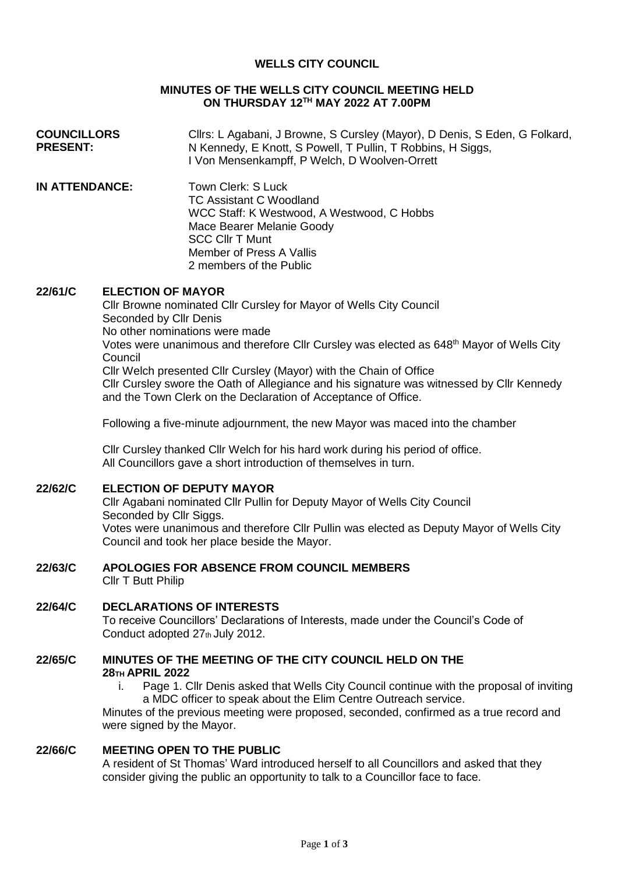# **WELLS CITY COUNCIL**

#### **MINUTES OF THE WELLS CITY COUNCIL MEETING HELD ON THURSDAY 12TH MAY 2022 AT 7.00PM**

| <b>COUNCILLORS</b> | Cllrs: L Agabani, J Browne, S Cursley (Mayor), D Denis, S Eden, G Folkard, |
|--------------------|----------------------------------------------------------------------------|
| <b>PRESENT:</b>    | N Kennedy, E Knott, S Powell, T Pullin, T Robbins, H Siggs,                |
|                    | I Von Mensenkampff, P Welch, D Woolven-Orrett                              |

**IN ATTENDANCE:** Town Clerk: S Luck TC Assistant C Woodland WCC Staff: K Westwood, A Westwood, C Hobbs Mace Bearer Melanie Goody SCC Cllr T Munt Member of Press A Vallis 2 members of the Public

#### **22/61/C ELECTION OF MAYOR**

Cllr Browne nominated Cllr Cursley for Mayor of Wells City Council Seconded by Cllr Denis No other nominations were made Votes were unanimous and therefore Cllr Cursley was elected as 648<sup>th</sup> Mayor of Wells City **Council** Cllr Welch presented Cllr Cursley (Mayor) with the Chain of Office Cllr Cursley swore the Oath of Allegiance and his signature was witnessed by Cllr Kennedy and the Town Clerk on the Declaration of Acceptance of Office.

Following a five-minute adjournment, the new Mayor was maced into the chamber

Cllr Cursley thanked Cllr Welch for his hard work during his period of office. All Councillors gave a short introduction of themselves in turn.

#### **22/62/C ELECTION OF DEPUTY MAYOR**

Cllr Agabani nominated Cllr Pullin for Deputy Mayor of Wells City Council Seconded by Cllr Siggs. Votes were unanimous and therefore Cllr Pullin was elected as Deputy Mayor of Wells City Council and took her place beside the Mayor.

# **22/63/C APOLOGIES FOR ABSENCE FROM COUNCIL MEMBERS**

Cllr T Butt Philip

# **22/64/C DECLARATIONS OF INTERESTS** To receive Councillors' Declarations of Interests, made under the Council's Code of Conduct adopted 27th July 2012.

### **22/65/C MINUTES OF THE MEETING OF THE CITY COUNCIL HELD ON THE 28TH APRIL 2022**

i. Page 1. Cllr Denis asked that Wells City Council continue with the proposal of inviting a MDC officer to speak about the Elim Centre Outreach service.

Minutes of the previous meeting were proposed, seconded, confirmed as a true record and were signed by the Mayor.

# **22/66/C MEETING OPEN TO THE PUBLIC**

A resident of St Thomas' Ward introduced herself to all Councillors and asked that they consider giving the public an opportunity to talk to a Councillor face to face.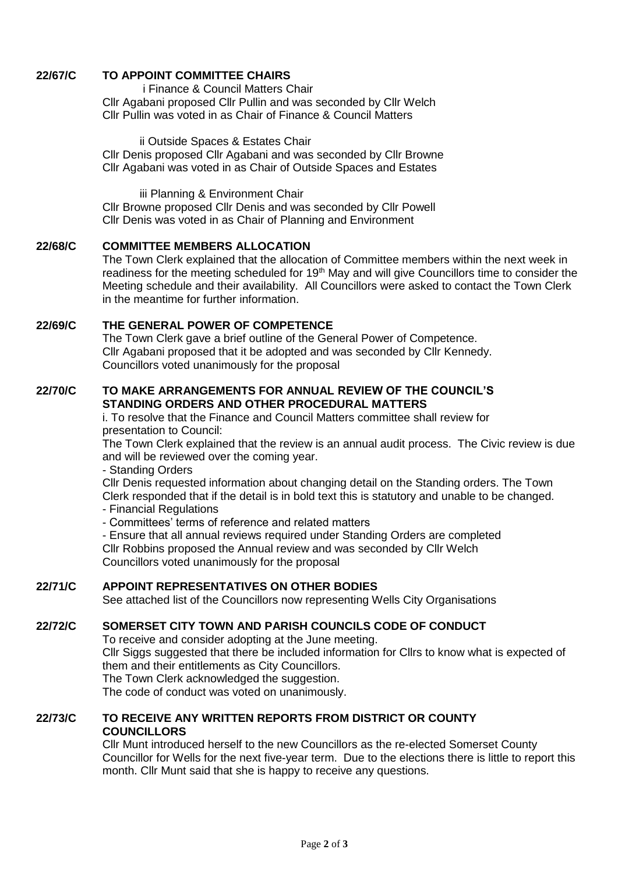# **22/67/C TO APPOINT COMMITTEE CHAIRS**

i Finance & Council Matters Chair Cllr Agabani proposed Cllr Pullin and was seconded by Cllr Welch Cllr Pullin was voted in as Chair of Finance & Council Matters

ii Outside Spaces & Estates Chair Cllr Denis proposed Cllr Agabani and was seconded by Cllr Browne Cllr Agabani was voted in as Chair of Outside Spaces and Estates

iii Planning & Environment Chair Cllr Browne proposed Cllr Denis and was seconded by Cllr Powell Cllr Denis was voted in as Chair of Planning and Environment

#### **22/68/C COMMITTEE MEMBERS ALLOCATION**

The Town Clerk explained that the allocation of Committee members within the next week in readiness for the meeting scheduled for 19<sup>th</sup> May and will give Councillors time to consider the Meeting schedule and their availability. All Councillors were asked to contact the Town Clerk in the meantime for further information.

# **22/69/C THE GENERAL POWER OF COMPETENCE**

The Town Clerk gave a brief outline of the General Power of Competence. Cllr Agabani proposed that it be adopted and was seconded by Cllr Kennedy. Councillors voted unanimously for the proposal

#### **22/70/C TO MAKE ARRANGEMENTS FOR ANNUAL REVIEW OF THE COUNCIL'S STANDING ORDERS AND OTHER PROCEDURAL MATTERS**

i. To resolve that the Finance and Council Matters committee shall review for presentation to Council:

The Town Clerk explained that the review is an annual audit process. The Civic review is due and will be reviewed over the coming year.

- Standing Orders

Cllr Denis requested information about changing detail on the Standing orders. The Town Clerk responded that if the detail is in bold text this is statutory and unable to be changed.

- Financial Regulations
- Committees' terms of reference and related matters
- Ensure that all annual reviews required under Standing Orders are completed

Cllr Robbins proposed the Annual review and was seconded by Cllr Welch Councillors voted unanimously for the proposal

# **22/71/C APPOINT REPRESENTATIVES ON OTHER BODIES**

See attached list of the Councillors now representing Wells City Organisations

# **22/72/C SOMERSET CITY TOWN AND PARISH COUNCILS CODE OF CONDUCT**

To receive and consider adopting at the June meeting.

Cllr Siggs suggested that there be included information for Cllrs to know what is expected of them and their entitlements as City Councillors.

The Town Clerk acknowledged the suggestion.

The code of conduct was voted on unanimously.

# **22/73/C TO RECEIVE ANY WRITTEN REPORTS FROM DISTRICT OR COUNTY COUNCILLORS**

Cllr Munt introduced herself to the new Councillors as the re-elected Somerset County Councillor for Wells for the next five-year term. Due to the elections there is little to report this month. Cllr Munt said that she is happy to receive any questions.